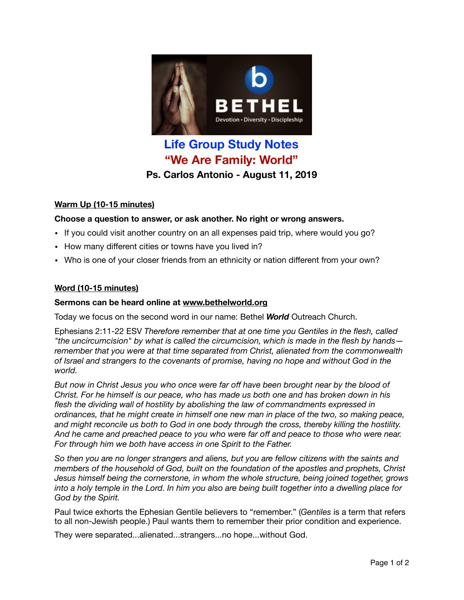

# **Life Group Study Notes "We Are Family: World" Ps. Carlos Antonio - August 11, 2019**

## **Warm Up (10-15 minutes)**

# **Choose a question to answer, or ask another. No right or wrong answers.**

- If you could visit another country on an all expenses paid trip, where would you go?
- How many different cities or towns have you lived in?
- Who is one of your closer friends from an ethnicity or nation different from your own?

### **Word (10-15 minutes)**

## **Sermons can be heard online at [www.bethelworld.org](http://www.bethelworld.org)**

Today we focus on the second word in our name: Bethel *World* Outreach Church.

Ephesians 2:11-22 ESV *Therefore remember that at one time you Gentiles in the flesh, called "the uncircumcision" by what is called the circumcision, which is made in the flesh by hands remember that you were at that time separated from Christ, alienated from the commonwealth of Israel and strangers to the covenants of promise, having no hope and without God in the world.* 

*But now in Christ Jesus you who once were far off have been brought near by the blood of Christ. For he himself is our peace, who has made us both one and has broken down in his flesh the dividing wall of hostility by abolishing the law of commandments expressed in ordinances, that he might create in himself one new man in place of the two, so making peace, and might reconcile us both to God in one body through the cross, thereby killing the hostility. And he came and preached peace to you who were far off and peace to those who were near. For through him we both have access in one Spirit to the Father.* 

*So then you are no longer strangers and aliens, but you are fellow citizens with the saints and members of the household of God, built on the foundation of the apostles and prophets, Christ Jesus himself being the cornerstone, in whom the whole structure, being joined together, grows into a holy temple in the Lord. In him you also are being built together into a dwelling place for God by the Spirit.*

Paul twice exhorts the Ephesian Gentile believers to "remember." (*Gentiles* is a term that refers to all non-Jewish people.) Paul wants them to remember their prior condition and experience.

They were separated...alienated...strangers...no hope...without God.